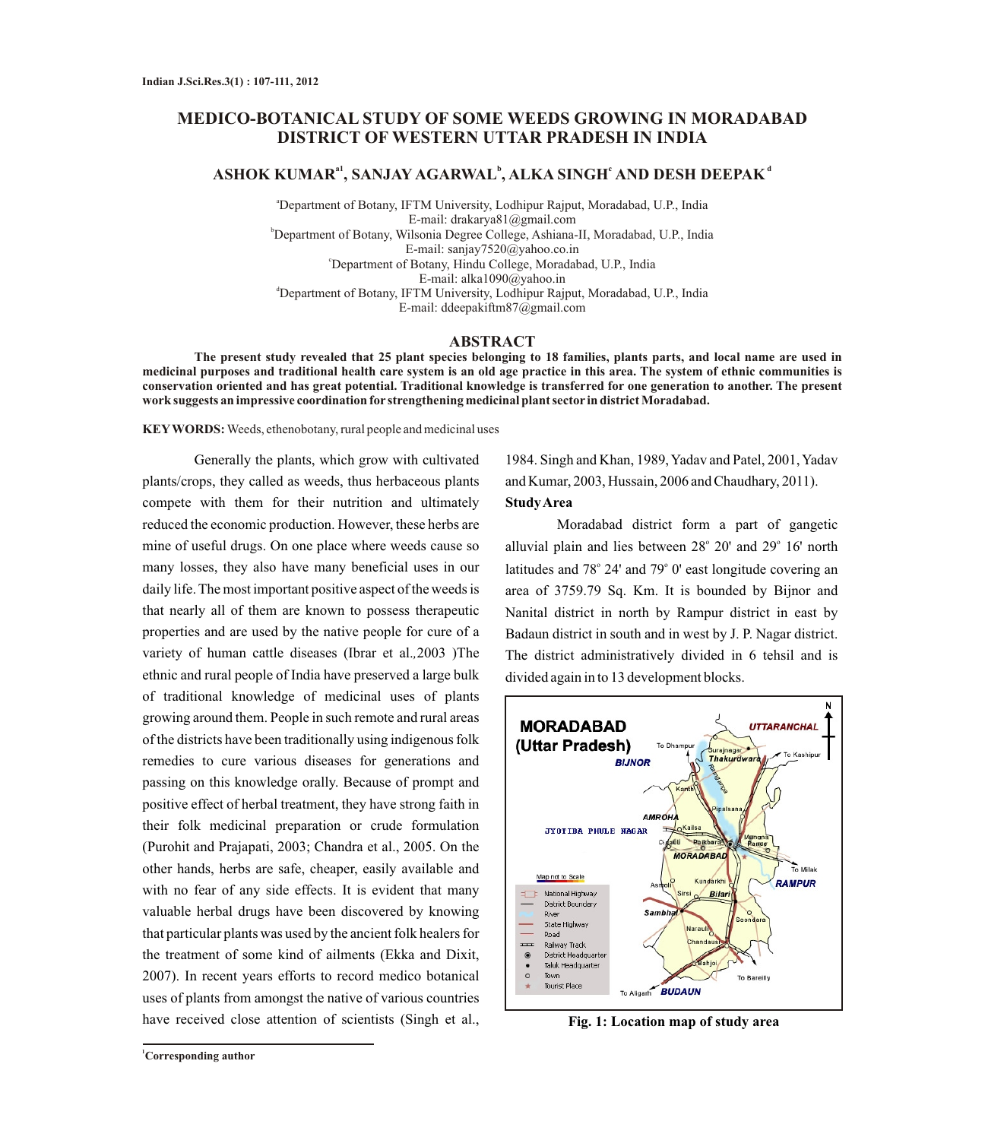# **MEDICO-BOTANICAL STUDY OF SOME WEEDS GROWING IN MORADABAD DISTRICT OF WESTERN UTTAR PRADESH IN INDIA**

## **a1 <sup>b</sup> c d ASHOK KUMAR , SANJAY AGARWAL , ALKA SINGH AND DESH DEEPAK**

<sup>a</sup>Department of Botany, IFTM University, Lodhipur Rajput, Moradabad, U.P., India E-mail: drakarya81@gmail.com <sup>b</sup>Department of Botany, Wilsonia Degree College, Ashiana-II, Moradabad, U.P., India E-mail: sanjay7520@yahoo.co.in <sup>c</sup>Department of Botany, Hindu College, Moradabad, U.P., India E-mail: alka1090@yahoo.in <sup>d</sup>Department of Botany, IFTM University, Lodhipur Rajput, Moradabad, U.P., India E-mail: ddeepakiftm87@gmail.com

#### **ABSTRACT**

**The present study revealed that 25 plant species belonging to 18 families, plants parts, and local name are used in medicinal purposes and traditional health care system is an old age practice in this area. The system of ethnic communities is conservation oriented and has great potential. Traditional knowledge is transferred for one generation to another. The present work suggests an impressive coordination for strengthening medicinal plant sector in district Moradabad.** 

**KEYWORDS:** Weeds, ethenobotany, rural people and medicinal uses

Generally the plants, which grow with cultivated plants/crops, they called as weeds, thus herbaceous plants compete with them for their nutrition and ultimately reduced the economic production. However, these herbs are mine of useful drugs. On one place where weeds cause so many losses, they also have many beneficial uses in our daily life. The most important positive aspect of the weeds is that nearly all of them are known to possess therapeutic properties and are used by the native people for cure of a variety of human cattle diseases (Ibrar et al.*,*2003 )The ethnic and rural people of India have preserved a large bulk of traditional knowledge of medicinal uses of plants growing around them. People in such remote and rural areas of the districts have been traditionally using indigenous folk remedies to cure various diseases for generations and passing on this knowledge orally. Because of prompt and positive effect of herbal treatment, they have strong faith in their folk medicinal preparation or crude formulation (Purohit and Prajapati, 2003; Chandra et al., 2005. On the other hands, herbs are safe, cheaper, easily available and with no fear of any side effects. It is evident that many valuable herbal drugs have been discovered by knowing that particular plants was used by the ancient folk healers for the treatment of some kind of ailments (Ekka and Dixit, 2007). In recent years efforts to record medico botanical uses of plants from amongst the native of various countries have received close attention of scientists (Singh et al.,

1984. Singh and Khan, 1989, Yadav and Patel, 2001, Yadav and Kumar, 2003, Hussain, 2006 and Chaudhary, 2011). **Study Area**

Moradabad district form a part of gangetic alluvial plain and lies between 28° 20' and 29° 16' north latitudes and 78° 24' and 79° 0' east longitude covering an area of 3759.79 Sq. Km. It is bounded by Bijnor and Nanital district in north by Rampur district in east by Badaun district in south and in west by J. P. Nagar district. The district administratively divided in 6 tehsil and is divided again in to 13 development blocks.



**Fig. 1: Location map of study area**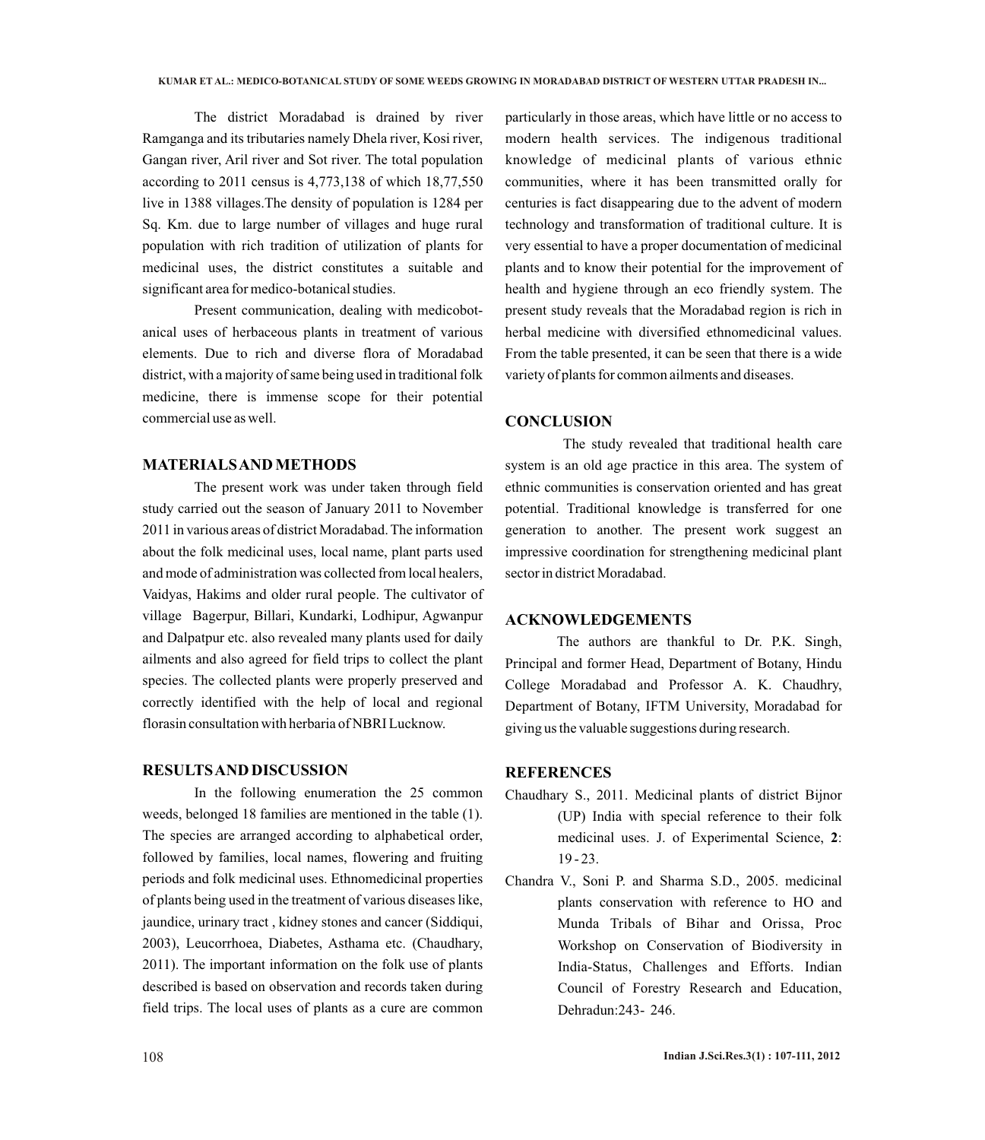The district Moradabad is drained by river Ramganga and its tributaries namely Dhela river, Kosi river, Gangan river, Aril river and Sot river. The total population according to 2011 census is 4,773,138 of which 18,77,550 live in 1388 villages.The density of population is 1284 per Sq. Km. due to large number of villages and huge rural population with rich tradition of utilization of plants for medicinal uses, the district constitutes a suitable and significant area for medico-botanical studies.

Present communication, dealing with medicobotanical uses of herbaceous plants in treatment of various elements. Due to rich and diverse flora of Moradabad district, with a majority of same being used in traditional folk medicine, there is immense scope for their potential commercial use as well.

## **MATERIALS AND METHODS**

The present work was under taken through field study carried out the season of January 2011 to November 2011 in various areas of district Moradabad. The information about the folk medicinal uses, local name, plant parts used and mode of administration was collected from local healers, Vaidyas, Hakims and older rural people. The cultivator of village Bagerpur, Billari, Kundarki, Lodhipur, Agwanpur and Dalpatpur etc. also revealed many plants used for daily ailments and also agreed for field trips to collect the plant species. The collected plants were properly preserved and correctly identified with the help of local and regional florasin consultation with herbaria of NBRI Lucknow.

### **RESULTS AND DISCUSSION**

In the following enumeration the 25 common weeds, belonged 18 families are mentioned in the table (1). The species are arranged according to alphabetical order, followed by families, local names, flowering and fruiting periods and folk medicinal uses. Ethnomedicinal properties of plants being used in the treatment of various diseases like, jaundice, urinary tract , kidney stones and cancer (Siddiqui, 2003), Leucorrhoea, Diabetes, Asthama etc. (Chaudhary, 2011). The important information on the folk use of plants described is based on observation and records taken during field trips. The local uses of plants as a cure are common

particularly in those areas, which have little or no access to modern health services. The indigenous traditional knowledge of medicinal plants of various ethnic communities, where it has been transmitted orally for centuries is fact disappearing due to the advent of modern technology and transformation of traditional culture. It is very essential to have a proper documentation of medicinal plants and to know their potential for the improvement of health and hygiene through an eco friendly system. The present study reveals that the Moradabad region is rich in herbal medicine with diversified ethnomedicinal values. From the table presented, it can be seen that there is a wide variety of plants for common ailments and diseases.

## **CONCLUSION**

The study revealed that traditional health care system is an old age practice in this area. The system of ethnic communities is conservation oriented and has great potential. Traditional knowledge is transferred for one generation to another. The present work suggest an impressive coordination for strengthening medicinal plant sector in district Moradabad.

## **ACKNOWLEDGEMENTS**

The authors are thankful to Dr. P.K. Singh, Principal and former Head, Department of Botany, Hindu College Moradabad and Professor A. K. Chaudhry, Department of Botany, IFTM University, Moradabad for giving us the valuable suggestions during research.

## **REFERENCES**

- Chaudhary S., 2011. Medicinal plants of district Bijnor (UP) India with special reference to their folk medicinal uses. J. of Experimental Science, **2**: 19 - 23.
- Chandra V., Soni P. and Sharma S.D., 2005. medicinal plants conservation with reference to HO and Munda Tribals of Bihar and Orissa, Proc Workshop on Conservation of Biodiversity in India-Status, Challenges and Efforts. Indian Council of Forestry Research and Education, Dehradun:243- 246.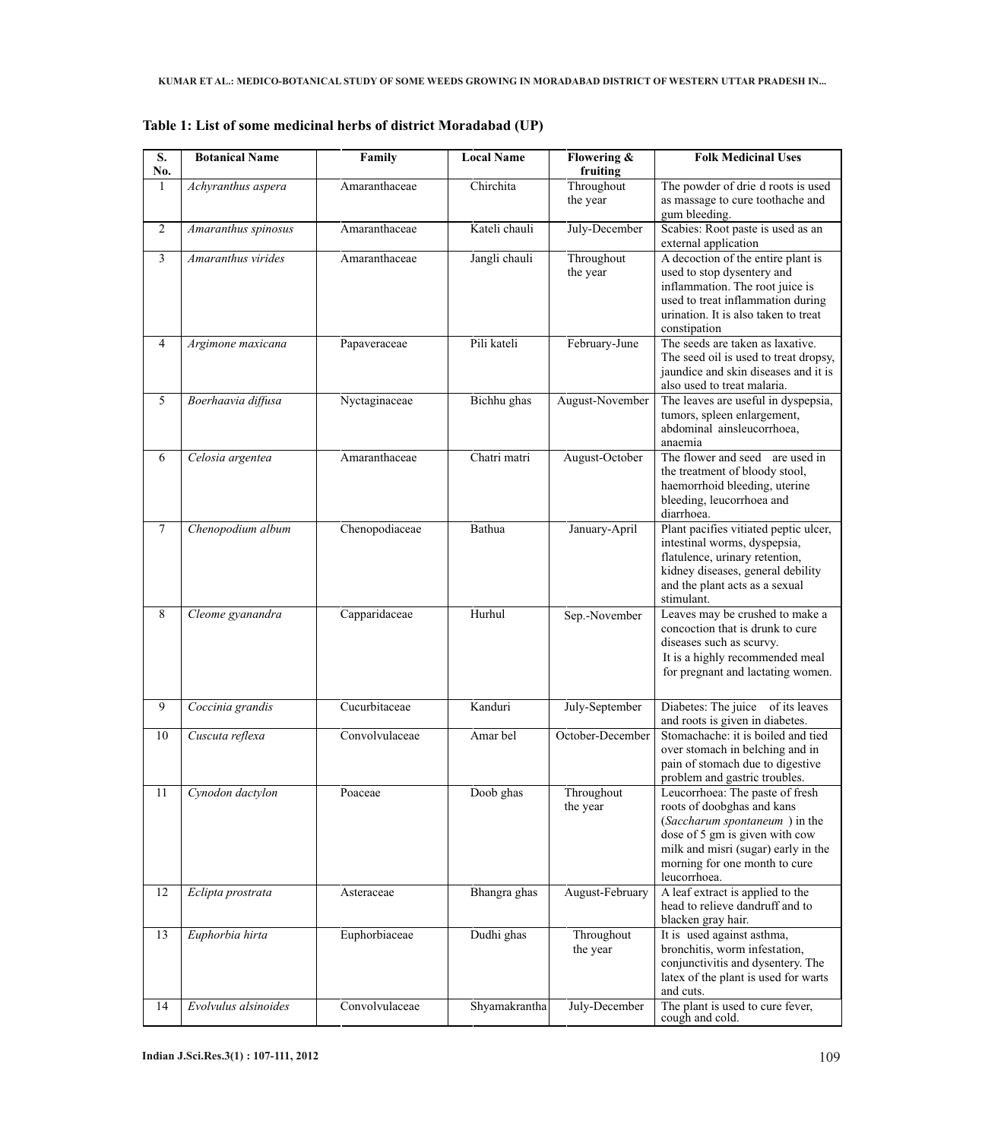| S.<br>No.      | <b>Botanical Name</b> | Family         | <b>Local Name</b> | Flowering &<br>fruiting | <b>Folk Medicinal Uses</b>                                                                                                                                                                                               |
|----------------|-----------------------|----------------|-------------------|-------------------------|--------------------------------------------------------------------------------------------------------------------------------------------------------------------------------------------------------------------------|
| $\mathbf{1}$   | Achyranthus aspera    | Amaranthaceae  | Chirchita         | Throughout<br>the year  | The powder of drie d roots is used<br>as massage to cure toothache and<br>gum bleeding.                                                                                                                                  |
| $\overline{2}$ | Amaranthus spinosus   | Amaranthaceae  | Kateli chauli     | July-December           | Scabies: Root paste is used as an<br>external application                                                                                                                                                                |
| 3              | Amaranthus virides    | Amaranthaceae  | Jangli chauli     | Throughout<br>the year  | A decoction of the entire plant is<br>used to stop dysentery and<br>inflammation. The root juice is<br>used to treat inflammation during<br>urination. It is also taken to treat<br>constipation                         |
| 4              | Argimone maxicana     | Papaveraceae   | Pili kateli       | February-June           | The seeds are taken as laxative.<br>The seed oil is used to treat dropsy,<br>jaundice and skin diseases and it is<br>also used to treat malaria.                                                                         |
| 5              | Boerhaavia diffusa    | Nyctaginaceae  | Bichhu ghas       | August-November         | The leaves are useful in dyspepsia,<br>tumors, spleen enlargement,<br>abdominal ainsleucorrhoea,<br>anaemia                                                                                                              |
| 6              | Celosia argentea      | Amaranthaceae  | Chatri matri      | August-October          | The flower and seed are used in<br>the treatment of bloody stool,<br>haemorrhoid bleeding, uterine<br>bleeding, leucorrhoea and<br>diarrhoea.                                                                            |
| $\overline{7}$ | Chenopodium album     | Chenopodiaceae | Bathua            | January-April           | Plant pacifies vitiated peptic ulcer,<br>intestinal worms, dyspepsia,<br>flatulence, urinary retention,<br>kidney diseases, general debility<br>and the plant acts as a sexual<br>stimulant.                             |
| 8              | Cleome gyanandra      | Capparidaceae  | Hurhul            | Sep.-November           | Leaves may be crushed to make a<br>concoction that is drunk to cure<br>diseases such as scurvy.<br>It is a highly recommended meal<br>for pregnant and lactating women.                                                  |
| 9              | Coccinia grandis      | Cucurbitaceae  | Kanduri           | July-September          | Diabetes: The juice of its leaves<br>and roots is given in diabetes.                                                                                                                                                     |
| 10             | Cuscuta reflexa       | Convolvulaceae | Amar bel          | October-December        | Stomachache: it is boiled and tied<br>over stomach in belching and in<br>pain of stomach due to digestive<br>problem and gastric troubles.                                                                               |
| 11             | Cynodon dactylon      | Poaceae        | Doob ghas         | Throughout<br>the year  | Leucorrhoea: The paste of fresh<br>roots of doobghas and kans<br>(Saccharum spontaneum) in the<br>dose of 5 gm is given with cow<br>milk and misri (sugar) early in the<br>morning for one month to cure<br>leucorrhoea. |
| 12             | Eclipta prostrata     | Asteraceae     | Bhangra ghas      | August-February         | A leaf extract is applied to the<br>head to relieve dandruff and to<br>blacken gray hair.                                                                                                                                |
| 13             | Euphorbia hirta       | Euphorbiaceae  | Dudhi ghas        | Throughout<br>the year  | It is used against asthma,<br>bronchitis, worm infestation,<br>conjunctivitis and dysentery. The<br>latex of the plant is used for warts<br>and cuts.                                                                    |
| 14             | Evolvulus alsinoides  | Convolvulaceae | Shyamakrantha     | July-December           | The plant is used to cure fever,<br>cough and cold.                                                                                                                                                                      |

**Table 1: List of some medicinal herbs of district Moradabad (UP)**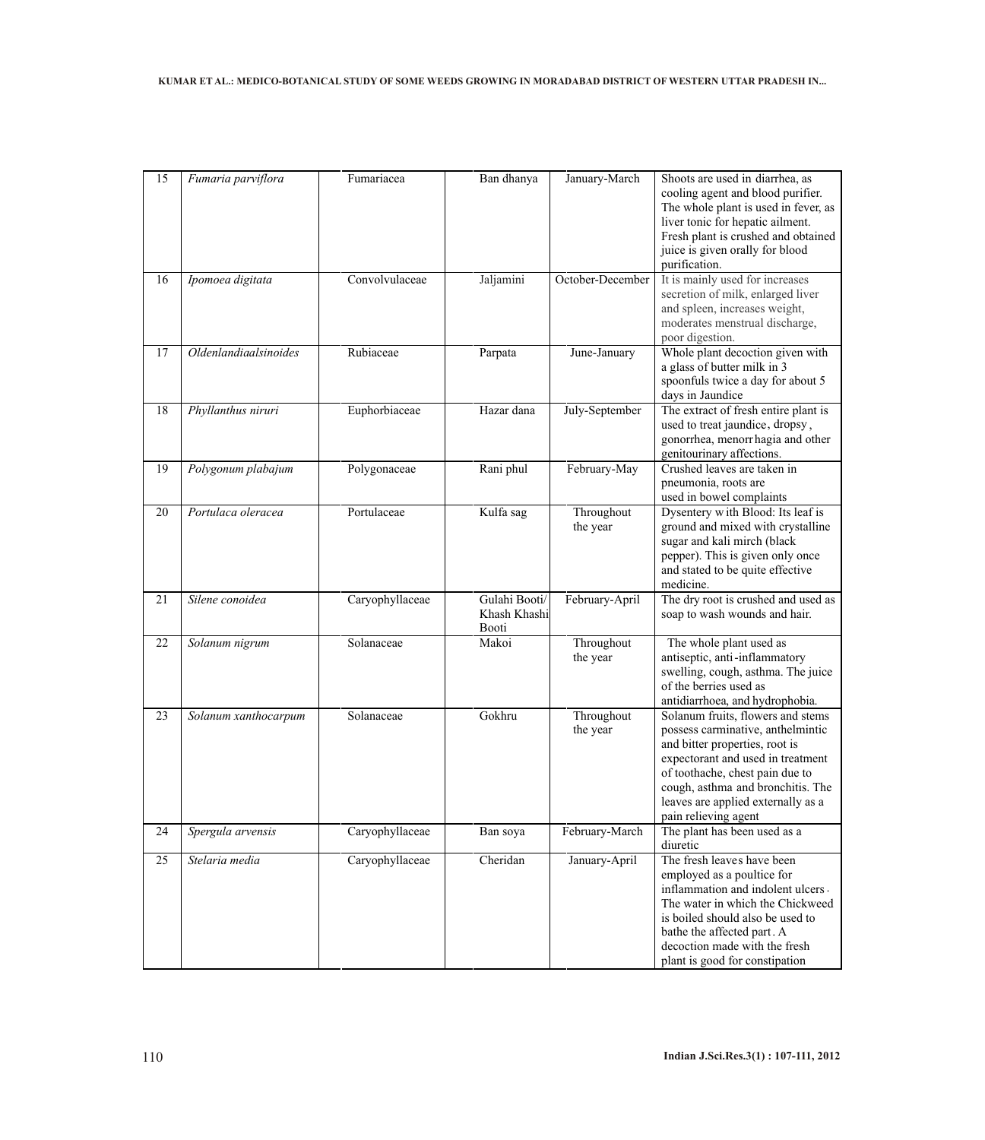| 15 | Fumaria parviflora           | Fumariacea      | Ban dhanya                             | January-March          | Shoots are used in diarrhea, as<br>cooling agent and blood purifier.<br>The whole plant is used in fever, as<br>liver tonic for hepatic ailment.<br>Fresh plant is crushed and obtained<br>juice is given orally for blood<br>purification.                                         |
|----|------------------------------|-----------------|----------------------------------------|------------------------|-------------------------------------------------------------------------------------------------------------------------------------------------------------------------------------------------------------------------------------------------------------------------------------|
| 16 | Ipomoea digitata             | Convolvulaceae  | Jaljamini                              | October-December       | It is mainly used for increases<br>secretion of milk, enlarged liver<br>and spleen, increases weight,<br>moderates menstrual discharge,<br>poor digestion.                                                                                                                          |
| 17 | <b>Oldenlandiaalsinoides</b> | Rubiaceae       | Parpata                                | June-January           | Whole plant decoction given with<br>a glass of butter milk in 3<br>spoonfuls twice a day for about 5<br>days in Jaundice                                                                                                                                                            |
| 18 | Phyllanthus niruri           | Euphorbiaceae   | Hazar dana                             | July-September         | The extract of fresh entire plant is<br>used to treat jaundice, dropsy,<br>gonorrhea, menorrhagia and other<br>genitourinary affections.                                                                                                                                            |
| 19 | Polygonum plabajum           | Polygonaceae    | Rani phul                              | February-May           | Crushed leaves are taken in<br>pneumonia, roots are<br>used in bowel complaints                                                                                                                                                                                                     |
| 20 | Portulaca oleracea           | Portulaceae     | Kulfa sag                              | Throughout<br>the year | Dysentery with Blood: Its leaf is<br>ground and mixed with crystalline<br>sugar and kali mirch (black<br>pepper). This is given only once<br>and stated to be quite effective<br>medicine.                                                                                          |
| 21 | Silene conoidea              | Caryophyllaceae | Gulahi Booti/<br>Khash Khashi<br>Booti | February-April         | The dry root is crushed and used as<br>soap to wash wounds and hair.                                                                                                                                                                                                                |
| 22 | Solanum nigrum               | Solanaceae      | Makoi                                  | Throughout<br>the year | The whole plant used as<br>antiseptic, anti-inflammatory<br>swelling, cough, asthma. The juice<br>of the berries used as<br>antidiarrhoea, and hydrophobia.                                                                                                                         |
| 23 | Solanum xanthocarpum         | Solanaceae      | Gokhru                                 | Throughout<br>the year | Solanum fruits, flowers and stems<br>possess carminative, anthelmintic<br>and bitter properties, root is<br>expectorant and used in treatment<br>of toothache, chest pain due to<br>cough, asthma and bronchitis. The<br>leaves are applied externally as a<br>pain relieving agent |
| 24 | Spergula arvensis            | Caryophyllaceae | Ban soya                               | February-March         | The plant has been used as a<br>diuretic                                                                                                                                                                                                                                            |
| 25 | Stelaria media               | Caryophyllaceae | Cheridan                               | January-April          | The fresh leaves have been<br>employed as a poultice for<br>inflammation and indolent ulcers.<br>The water in which the Chickweed<br>is boiled should also be used to<br>bathe the affected part. A<br>decoction made with the fresh<br>plant is good for constipation              |